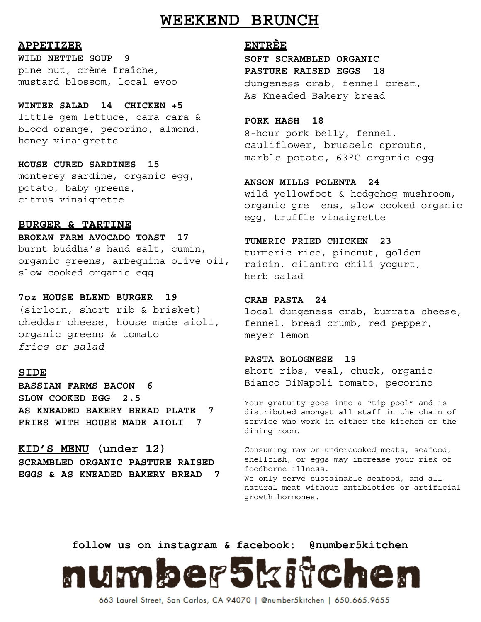## **WEEKEND BRUNCH**

**APPETIZER** 

**WILD NETTLE SOUP 9** pine nut, crème fraîche, mustard blossom, local evoo

**WINTER SALAD 14 CHICKEN +5** little gem lettuce, cara cara & blood orange, pecorino, almond, honey vinaigrette

**HOUSE CURED SARDINES 15** monterey sardine, organic egg, potato, baby greens, citrus vinaigrette

#### **BURGER & TARTINE**

**BROKAW FARM AVOCADO TOAST 17** burnt buddha's hand salt, cumin, organic greens, arbequina olive oil, slow cooked organic egg

**7oz HOUSE BLEND BURGER 19** (sirloin, short rib & brisket) cheddar cheese, house made aioli, organic greens & tomato *fries or salad*

#### **SIDE**

**BASSIAN FARMS BACON 6 SLOW COOKED EGG 2.5 AS KNEADED BAKERY BREAD PLATE 7 FRIES WITH HOUSE MADE AIOLI 7**

**KID'S MENU (under 12) SCRAMBLED ORGANIC PASTURE RAISED EGGS & AS KNEADED BAKERY BREAD 7**

#### **ENTR ÈE**

**SOFT SCRAMBLED ORGANIC PASTURE RAISED EGGS 18** dungeness crab, fennel cream, As Kneaded Bakery bread

#### **PORK HASH 18**

8-hour pork belly, fennel, cauliflower, brussels sprouts, marble potato, 63°C organic egg

**ANSON MILLS POLENTA 24** wild yellowfoot & hedgehog mushroom, organic gre ens, slow cooked organic egg, truffle vinaigrette

#### **TUMERIC FRIED CHICKEN 23**

turmeric rice, pinenut, golden raisin, cilantro chili yogurt, herb salad

#### **CRAB PASTA 24**

local dungeness crab, burrata cheese, fennel, bread crumb, red pepper, meyer lemon

#### **PASTA BOLOGNESE 19**

short ribs, veal, chuck, organic Bianco DiNapoli tomato, pecorino

Your gratuity goes into a "tip pool" and is distributed amongst all staff in the chain of service who work in either the kitchen or the dining room.

Consuming raw or undercooked meats, seafood, shellfish, or eggs may increase your risk of foodborne illness.

We only serve sustainable seafood, and all natural meat without antibiotics or artificial growth hormones.

**follow us on instagram & facebook: @number5kitchen**



663 Laurel Street, San Carlos, CA 94070 | @number5kitchen | 650.665.9655